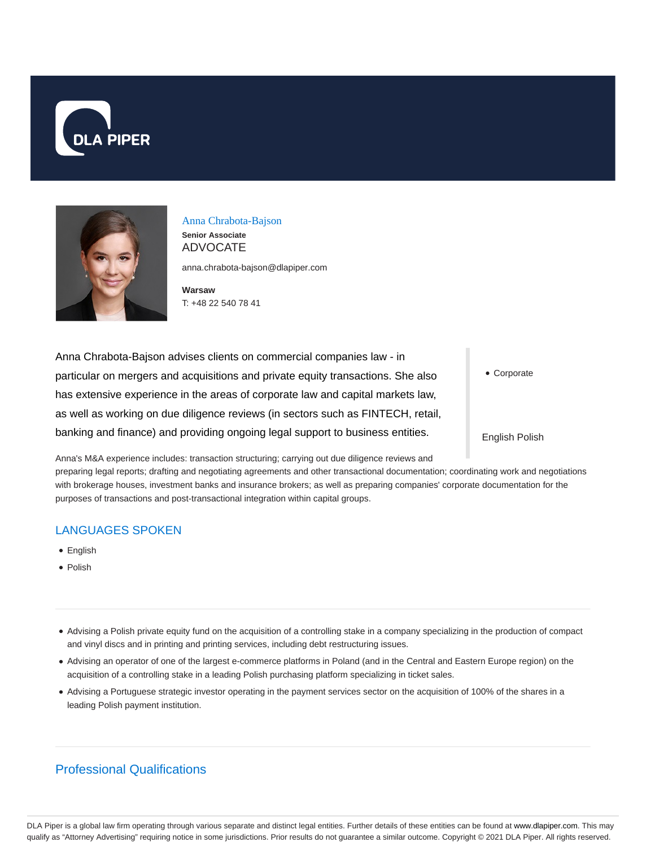



## Anna Chrabota-Bajson

**Senior Associate** ADVOCATE

anna.chrabota-bajson@dlapiper.com

**Warsaw** T: +48 22 540 78 41

Anna Chrabota-Bajson advises clients on commercial companies law - in particular on mergers and acquisitions and private equity transactions. She also has extensive experience in the areas of corporate law and capital markets law, as well as working on due diligence reviews (in sectors such as FINTECH, retail, banking and finance) and providing ongoing legal support to business entities.

Corporate

English Polish

Anna's M&A experience includes: transaction structuring; carrying out due diligence reviews and

preparing legal reports; drafting and negotiating agreements and other transactional documentation; coordinating work and negotiations with brokerage houses, investment banks and insurance brokers; as well as preparing companies' corporate documentation for the purposes of transactions and post-transactional integration within capital groups.

## LANGUAGES SPOKEN

- **•** English
- Polish
- Advising a Polish private equity fund on the acquisition of a controlling stake in a company specializing in the production of compact and vinyl discs and in printing and printing services, including debt restructuring issues.
- Advising an operator of one of the largest e-commerce platforms in Poland (and in the Central and Eastern Europe region) on the acquisition of a controlling stake in a leading Polish purchasing platform specializing in ticket sales.
- Advising a Portuguese strategic investor operating in the payment services sector on the acquisition of 100% of the shares in a leading Polish payment institution.

# Professional Qualifications

DLA Piper is a global law firm operating through various separate and distinct legal entities. Further details of these entities can be found at www.dlapiper.com. This may qualify as "Attorney Advertising" requiring notice in some jurisdictions. Prior results do not guarantee a similar outcome. Copyright @ 2021 DLA Piper. All rights reserved.